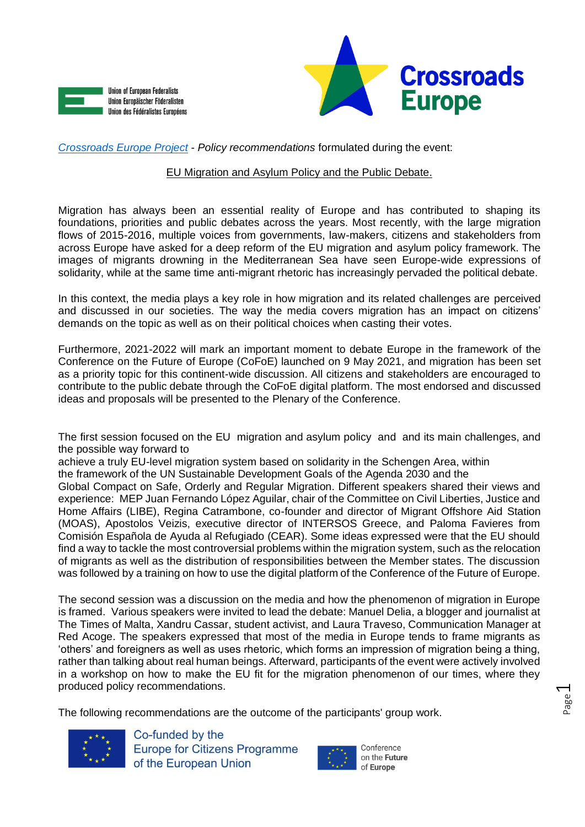



*[Crossroads Europe Project](https://www.crossroadseurope.eu/)* - *Policy recommendations* formulated during the event:

## EU Migration and Asylum Policy and the Public Debate.

Migration has always been an essential reality of Europe and has contributed to shaping its foundations, priorities and public debates across the years. Most recently, with the large migration flows of 2015-2016, multiple voices from governments, law-makers, citizens and stakeholders from across Europe have asked for a deep reform of the EU migration and asylum policy framework. The images of migrants drowning in the Mediterranean Sea have seen Europe-wide expressions of solidarity, while at the same time anti-migrant rhetoric has increasingly pervaded the political debate.

In this context, the media plays a key role in how migration and its related challenges are perceived and discussed in our societies. The way the media covers migration has an impact on citizens' demands on the topic as well as on their political choices when casting their votes.

Furthermore, 2021-2022 will mark an important moment to debate Europe in the framework of the Conference on the Future of Europe (CoFoE) launched on 9 May 2021, and migration has been set as a priority topic for this continent-wide discussion. All citizens and stakeholders are encouraged to contribute to the public debate through the CoFoE digital platform. The most endorsed and discussed ideas and proposals will be presented to the Plenary of the Conference.

The first session focused on the EU migration and asylum policy and and its main challenges, and the possible way forward to

achieve a truly EU-level migration system based on solidarity in the Schengen Area, within the framework of the UN Sustainable Development Goals of the Agenda 2030 and the Global Compact on Safe, Orderly and Regular Migration. Different speakers shared their views and experience: MEP Juan Fernando López Aguilar, chair of the Committee on Civil Liberties, Justice and Home Affairs (LIBE), Regina Catrambone, co-founder and director of Migrant Offshore Aid Station (MOAS), Apostolos Veizis, executive director of INTERSOS Greece, and Paloma Favieres from Comisión Española de Ayuda al Refugiado (CEAR). Some ideas expressed were that the EU should find a way to tackle the most controversial problems within the migration system, such as the relocation of migrants as well as the distribution of responsibilities between the Member states. The discussion was followed by a training on how to use the digital platform of the Conference of the Future of Europe.

The second session was a discussion on the media and how the phenomenon of migration in Europe is framed. Various speakers were invited to lead the debate: Manuel Delia, a blogger and journalist at The Times of Malta, Xandru Cassar, student activist, and Laura Traveso, Communication Manager at Red Acoge. The speakers expressed that most of the media in Europe tends to frame migrants as 'others' and foreigners as well as uses rhetoric, which forms an impression of migration being a thing, rather than talking about real human beings. Afterward, participants of the event were actively involved in a workshop on how to make the EU fit for the migration phenomenon of our times, where they produced policy recommendations.

The following recommendations are the outcome of the participants' group work.



Co-funded by the **Europe for Citizens Programme** of the European Union



on the Future of Europe